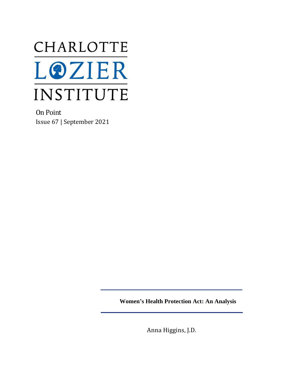

On Point Issue 67 | September 2021

**Women's Health Protection Act: An Analysis**

Anna Higgins, J.D.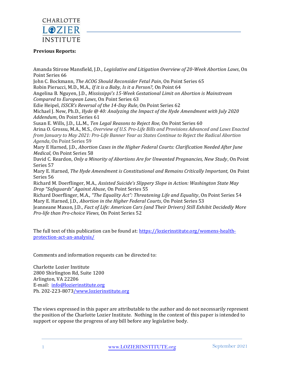

#### **Previous Reports:**

Amanda Stirone Mansfield, J.D., *Legislative and Litigation Overview of 20-Week Abortion Laws*, On Point Series 66

John C. Bockmann, *The ACOG Should Reconsider Fetal Pain*, On Point Series 65

Robin Pierucci, M.D., M.A., *If it is a Baby, Is it a Person?*, On Point 64

Angelina B. Nguyen, J.D., *Mississippi's 15-Week Gestational Limit on Abortion is Mainstream Compared to European Laws*, On Point Series 63

Edie Heipel, *ISSCR's Reversal of the 14-Day Rule*, On Point Series 62

Michael J. New, Ph.D., *Hyde @ 40: Analyzing the Impact of the Hyde Amendment with July 2020 Addendum*, On Point Series 61

Susan E. Wills, J.D., LL.M., *Ten Legal Reasons to Reject Roe,* On Point Series 60

Arina O. Grossu, M.A., M.S., *Overview of U.S. Pro-Life Bills and Provisions Advanced and Laws Enacted from January to May 2021: Pro-Life Banner Year as States Continue to Reject the Radical Abortion Agenda*, On Point Series 59

Mary E Harned, J.D., *Abortion Cases in the Higher Federal Courts: Clarification Needed After June Medical*, On Point Series 58

David C. Reardon, *Only a Minority of Abortions Are for Unwanted Pregnancies, New Study*, On Point Series 57

Mary E. Harned, *The Hyde Amendment is Constitutional and Remains Critically Important,* On Point Series 56

Richard M. Doerflinger, M.A., *Assisted Suicide's Slippery Slope in Action: Washington State May Drop "Safeguards" Against Abuse*, On Point Series 55

Richard Doerflinger, M.A., *"The Equality Act": Threatening Life and Equality*, On Point Series 54 Mary E. Harned, J.D., *Abortion in the Higher Federal Courts*, On Point Series 53

Jeanneane Maxon, J.D., *Fact of Life: American Cars (and Their Drivers) Still Exhibit Decidedly More Pro-life than Pro-choice Views*, On Point Series 52

The full text of this publication can be found at: [https://lozierinstitute.org/womens-health](https://lozierinstitute.org/womens-health-protection-act-an-analysis/)[protection-act-an-analysis/](https://lozierinstitute.org/womens-health-protection-act-an-analysis/)

Comments and information requests can be directed to:

Charlotte Lozier Institute 2800 Shirlington Rd, Suite 1200 Arlington, VA 22206 E-mail: [info@lozierinstitute.org](mailto:info@lozierinstitute.org) Ph. 202-223-807[3/www.lozierinstitute.org](http://www.lozierinstitute.org/)

The views expressed in this paper are attributable to the author and do not necessarily represent the position of the Charlotte Lozier Institute. Nothing in the content of this paper is intended to support or oppose the progress of any bill before any legislative body.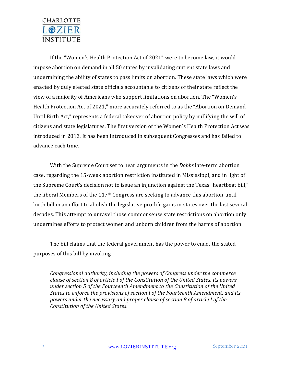If the "Women's Health Protection Act of 2021" were to become law, it would impose abortion on demand in all 50 states by invalidating current state laws and undermining the ability of states to pass limits on abortion. These state laws which were enacted by duly elected state officials accountable to citizens of their state reflect the view of a majority of Americans who support limitations on abortion. The "Women's Health Protection Act of 2021," more accurately referred to as the "Abortion on Demand Until Birth Act," represents a federal takeover of abortion policy by nullifying the will of citizens and state legislatures. The first version of the Women's Health Protection Act was introduced in 2013. It has been introduced in subsequent Congresses and has failed to advance each time.

With the Supreme Court set to hear arguments in the *Dobbs* late-term abortion case, regarding the 15-week abortion restriction instituted in Mississippi, and in light of the Supreme Court's decision not to issue an injunction against the Texas "heartbeat bill," the liberal Members of the 117th Congress are seeking to advance this abortion-untilbirth bill in an effort to abolish the legislative pro-life gains in states over the last several decades. This attempt to unravel those commonsense state restrictions on abortion only undermines efforts to protect women and unborn children from the harms of abortion.

The bill claims that the federal government has the power to enact the stated purposes of this bill by invoking

*Congressional authority, including the powers of Congress under the commerce clause of section 8 of article I of the Constitution of the United States, its powers under section 5 of the Fourteenth Amendment to the Constitution of the United States to enforce the provisions of section I of the Fourteenth Amendment, and its powers under the necessary and proper clause of section 8 of article I of the Constitution of the United States*.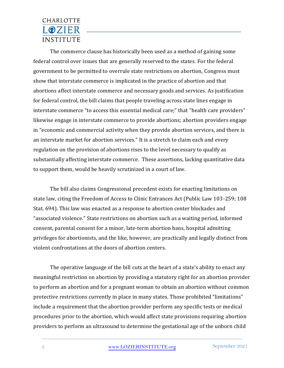The commerce clause has historically been used as a method of gaining some federal control over issues that are generally reserved to the states. For the federal government to be permitted to overrule state restrictions on abortion, Congress must show that interstate commerce is implicated in the practice of abortion and that abortions affect interstate commerce and necessary goods and services. As justification for federal control, the bill claims that people traveling across state lines engage in interstate commerce "to access this essential medical care;" that "health care providers" likewise engage in interstate commerce to provide abortions; abortion providers engage in "economic and commercial activity when they provide abortion services, and there is an interstate market for abortion services." It is a stretch to claim each and every regulation on the provision of abortions rises to the level necessary to qualify as substantially affecting interstate commerce. These assertions, lacking quantitative data to support them, would be heavily scrutinized in a court of law.

The bill also claims Congressional precedent exists for enacting limitations on state law, citing the Freedom of Access to Clinic Entrances Act (Public Law 103-259; 108 Stat. 694). This law was enacted as a response to abortion center blockades and "associated violence." State restrictions on abortion such as a waiting period, informed consent, parental consent for a minor, late-term abortion bans, hospital admitting privileges for abortionists, and the like, however, are practically and legally distinct from violent confrontations at the doors of abortion centers.

The operative language of the bill cuts at the heart of a state's ability to enact any meaningful restriction on abortion by providing a statutory right for an abortion provider to perform an abortion and for a pregnant woman to obtain an abortion without common protective restrictions currently in place in many states. Those prohibited "limitations" include a requirement that the abortion provider perform any specific tests or medical procedures prior to the abortion, which would affect state provisions requiring abortion providers to perform an ultrasound to determine the gestational age of the unborn child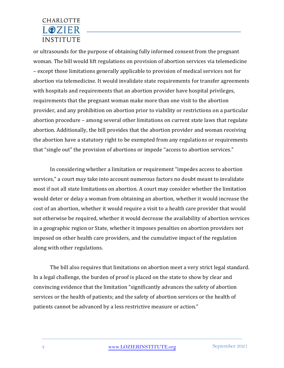or ultrasounds for the purpose of obtaining fully informed consent from the pregnant woman. The bill would lift regulations on provision of abortion services via telemedicine – except those limitations generally applicable to provision of medical services not for abortion via telemedicine. It would invalidate state requirements for transfer agreements with hospitals and requirements that an abortion provider have hospital privileges, requirements that the pregnant woman make more than one visit to the abortion provider, and any prohibition on abortion prior to viability or restrictions on a particular abortion procedure – among several other limitations on current state laws that regulate abortion. Additionally, the bill provides that the abortion provider and woman receiving the abortion have a statutory right to be exempted from any regulations or requirements that "single out" the provision of abortions or impede "access to abortion services."

In considering whether a limitation or requirement "impedes access to abortion services," a court may take into account numerous factors no doubt meant to invalidate most if not all state limitations on abortion. A court may consider whether the limitation would deter or delay a woman from obtaining an abortion, whether it would increase the cost of an abortion, whether it would require a visit to a health care provider that would not otherwise be required, whether it would decrease the availability of abortion services in a geographic region or State, whether it imposes penalties on abortion providers not imposed on other health care providers, and the cumulative impact of the regulation along with other regulations.

The bill also requires that limitations on abortion meet a very strict legal standard. In a legal challenge, the burden of proof is placed on the state to show by clear and convincing evidence that the limitation "significantly advances the safety of abortion services or the health of patients; and the safety of abortion services or the health of patients cannot be advanced by a less restrictive measure or action."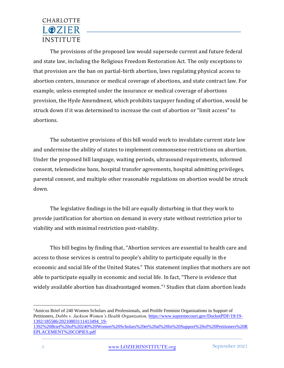The provisions of the proposed law would supersede current and future federal and state law, including the Religious Freedom Restoration Act. The only exceptions to that provision are the ban on partial-birth abortion, laws regulating physical access to abortion centers, insurance or medical coverage of abortions, and state contract law. For example, unless exempted under the insurance or medical coverage of abortions provision, the Hyde Amendment, which prohibits taxpayer funding of abortion, would be struck down if it was determined to increase the cost of abortion or "limit access" to abortions.

The substantive provisions of this bill would work to invalidate current state law and undermine the ability of states to implement commonsense restrictions on abortion. Under the proposed bill language, waiting periods, ultrasound requirements, informed consent, telemedicine bans, hospital transfer agreements, hospital admitting privileges, parental consent, and multiple other reasonable regulations on abortion would be struck down.

The legislative findings in the bill are equally disturbing in that they work to provide justification for abortion on demand in every state without restriction prior to viability and with minimal restriction post-viability.

This bill begins by finding that, "Abortion services are essential to health care and access to those services is central to people's ability to participate equally in the economic and social life of the United States." This statement implies that mothers are not able to participate equally in economic and social life. In fact, "There is evidence that widely available abortion has disadvantaged women."<sup>1</sup> Studies that claim abortion leads

<sup>1</sup>Amicus Brief of 240 Women Scholars and Professionals, and Prolife Feminist Organizations in Support of Petitioners, *Dobbs v. Jackson Women's Health Organization,* [https://www.supremecourt.gov/DocketPDF/19/19-](https://www.supremecourt.gov/DocketPDF/19/19-1392/185586/20210803111413494_19-1392%20Brief%20of%20240%20Women%20Scholars%20et%20al%20In%20Support%20of%20Petitioners%20REPLACEMENT%20COPIES.pdf) [1392/185586/20210803111413494\\_19-](https://www.supremecourt.gov/DocketPDF/19/19-1392/185586/20210803111413494_19-1392%20Brief%20of%20240%20Women%20Scholars%20et%20al%20In%20Support%20of%20Petitioners%20REPLACEMENT%20COPIES.pdf) [1392%20Brief%20of%20240%20Women%20Scholars%20et%20al%20In%20Support%20of%20Petitioners%20R](https://www.supremecourt.gov/DocketPDF/19/19-1392/185586/20210803111413494_19-1392%20Brief%20of%20240%20Women%20Scholars%20et%20al%20In%20Support%20of%20Petitioners%20REPLACEMENT%20COPIES.pdf)

[EPLACEMENT%20COPIES.pdf](https://www.supremecourt.gov/DocketPDF/19/19-1392/185586/20210803111413494_19-1392%20Brief%20of%20240%20Women%20Scholars%20et%20al%20In%20Support%20of%20Petitioners%20REPLACEMENT%20COPIES.pdf)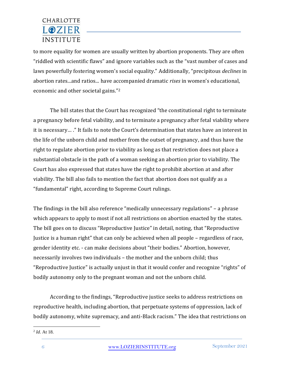to more equality for women are usually written by abortion proponents. They are often "riddled with scientific flaws" and ignore variables such as the "vast number of cases and laws powerfully fostering women's social equality." Additionally, "precipitous *declines* in abortion rates...and ratios... have accompanied dramatic *rises* in women's educational, economic and other societal gains."<sup>2</sup>

The bill states that the Court has recognized "the constitutional right to terminate a pregnancy before fetal viability, and to terminate a pregnancy after fetal viability where it is necessary… ." It fails to note the Court's determination that states have an interest in the life of the unborn child and mother from the outset of pregnancy, and thus have the right to regulate abortion prior to viability as long as that restriction does not place a substantial obstacle in the path of a woman seeking an abortion prior to viability. The Court has also expressed that states have the right to prohibit abortion at and after viability. The bill also fails to mention the fact that abortion does not qualify as a "fundamental" right, according to Supreme Court rulings.

The findings in the bill also reference "medically unnecessary regulations" – a phrase which appears to apply to most if not all restrictions on abortion enacted by the states. The bill goes on to discuss "Reproductive Justice" in detail, noting, that "Reproductive Justice is a human right" that can only be achieved when all people – regardless of race, gender identity etc. - can make decisions about "their bodies." Abortion, however, necessarily involves two individuals – the mother and the unborn child; thus "Reproductive Justice" is actually unjust in that it would confer and recognize "rights" of bodily autonomy only to the pregnant woman and not the unborn child.

According to the findings, "Reproductive justice seeks to address restrictions on reproductive health, including abortion, that perpetuate systems of oppression, lack of bodily autonomy, white supremacy, and anti-Black racism." The idea that restrictions on

<sup>2</sup> *Id*. At 18.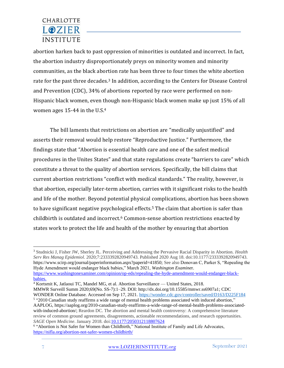abortion harken back to past oppression of minorities is outdated and incorrect. In fact, the abortion industry disproportionately preys on minority women and minority communities, as the black abortion rate has been three to four times the white abortion rate for the past three decades.<sup>3</sup> In addition, according to the Centers for Disease Control and Prevention (CDC), 34% of abortions reported by race were performed on non-Hispanic black women, even though non-Hispanic black women make up just 15% of all women ages 15-44 in the U.S. 4

The bill laments that restrictions on abortion are "medically unjustified" and asserts their removal would help restore "Reproductive Justice." Furthermore, the findings state that "Abortion is essential health care and one of the safest medical procedures in the Unites States" and that state regulations create "barriers to care" which constitute a threat to the quality of abortion services. Specifically, the bill claims that current abortion restrictions "conflict with medical standards." The reality, however, is that abortion, especially later-term abortion, carries with it significant risks to the health and life of the mother. Beyond potential physical complications, abortion has been shown to have significant negative psychological effects. <sup>5</sup> The claim that abortion is safer than childbirth is outdated and incorrect.<sup>6</sup> Common-sense abortion restrictions enacted by states work to protect the life and health of the mother by ensuring that abortion

[babies.](https://www.washingtonexaminer.com/opinion/op-eds/repealing-the-hyde-amendment-would-endanger-black-babies.) 

<sup>4</sup> Kortsmit K, Jatlaoui TC, Mandel MG, et al. Abortion Surveillance — United States, 2018.

MMWR Surveill Summ 2020;69(No. SS-7):1–29. DOI: http://dx.doi.org/10.15585/mmwr.ss6907a1; CDC WONDER Online Database. Accessed on Sep 17, 2021. <https://wonder.cdc.gov/controller/saved/D163/D225F184>

<sup>3</sup> Studnicki J, Fisher JW, Sherley JL. Perceiving and Addressing the Pervasive Racial Disparity in Abortion. *Health Serv Res Manag Epidemiol*. 2020;7:2333392820949743. Published 2020 Aug 18. doi:10.1177/2333392820949743. https://www.scirp.org/journal/paperinformation.aspx?paperid=41850; See also Donovan C, Parker S, "Repealing the Hyde Amendment would endanger black babies," March 2021, *Washington Examine*r. [https://www.washingtonexaminer.com/opinion/op-eds/repealing-the-hyde-amendment-would-endanger-black-](https://www.washingtonexaminer.com/opinion/op-eds/repealing-the-hyde-amendment-would-endanger-black-babies.)

<sup>5</sup> "2010 Canadian study reaffirms a wide range of mental health problems associated with induced abortion*,*" AAPLOG, https://aaplog.org/2010-canadian-study-reaffirms-a-wide-range-of-mental-health-problems-associatedwith-induced-abortion/; Reardon DC. The abortion and mental health controversy: A comprehensive literature review of common ground agreements, disagreements, actionable recommendations, and research opportunities. *SAGE Open Medicine*. January 2018. doi[:10.1177/2050312118807624](https://doi.org/10.1177/2050312118807624)

<sup>&</sup>lt;sup>6</sup> "Abortion is Not Safer for Women than Childbirth," National Institute of Family and Life Advocates, <https://nifla.org/abortion-not-safer-women-childbirth/>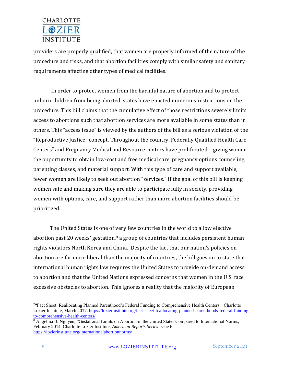providers are properly qualified, that women are properly informed of the nature of the procedure and risks, and that abortion facilities comply with similar safety and sanitary requirements affecting other types of medical facilities.

In order to protect women from the harmful nature of abortion and to protect unborn children from being aborted, states have enacted numerous restrictions on the procedure. This bill claims that the cumulative effect of those restrictions severely limits access to abortions such that abortion services are more available in some states than in others. This "access issue" is viewed by the authors of the bill as a serious violation of the "Reproductive Justice" concept. Throughout the country, Federally Qualified Health Care Centers<sup>7</sup> and Pregnancy Medical and Resource centers have proliferated – giving women the opportunity to obtain low-cost and free medical care, pregnancy options counseling, parenting classes, and material support. With this type of care and support available, fewer women are likely to seek out abortion "services." If the goal of this bill is keeping women safe and making sure they are able to participate fully in society, providing women with options, care, and support rather than more abortion facilities should be prioritized.

The United States is one of very few countries in the world to allow elective abortion past 20 weeks' gestation, $8$  a group of countries that includes persistent human rights violators North Korea and China. Despite the fact that our nation's policies on abortion are far more liberal than the majority of countries, the bill goes on to state that international human rights law requires the United States to provide on-demand access to abortion and that the United Nations expressed concerns that women in the U.S. face excessive obstacles to abortion. This ignores a reality that the majority of European

<sup>&</sup>lt;sup>7</sup>"Fact Sheet: Reallocating Planned Parenthood's Federal Funding to Comprehensive Health Centers." Charlotte Lozier Institute, March 2017. [https://lozierinstitute.org/fact-sheet-reallocating-planned-parenthoods-federal-funding](https://lozierinstitute.org/fact-sheet-reallocating-planned-parenthoods-federal-funding-to-comprehensive-health-centers/)[to-comprehensive-health-centers/](https://lozierinstitute.org/fact-sheet-reallocating-planned-parenthoods-federal-funding-to-comprehensive-health-centers/)

<sup>&</sup>lt;sup>8</sup> Angelina B. Nguyen, "Gestational Limits on Abortion in the United States Compared to International Norms," February 2014, Charlotte Lozier Institute, *American Reports Series* Issue 6. <https://lozierinstitute.org/internationalabortionnorms/>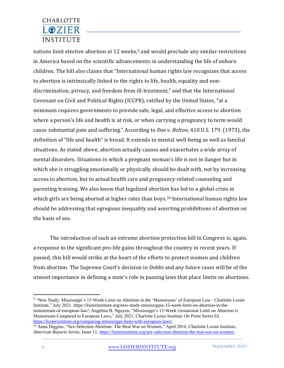nations limit elective abortion at 12 weeks, <sup>9</sup> and would preclude any similar restrictions in America based on the scientific advancements in understanding the life of unborn children. The bill also claims that "International human rights law recognizes that access to abortion is intrinsically linked to the rights to life, health, equality and nondiscrimination, privacy, and freedom from ill-treatment," and that the International Covenant on Civil and Political Rights (ICCPR), ratified by the United States, "at a minimum requires governments to provide safe, legal, and effective access to abortion where a person's life and health is at risk, or when carrying a pregnancy to term would cause substantial pain and suffering." According to *Doe v. Bolton*, 410 U.S. 179. (1973), the definition of "life and health" is broad. It extends to mental well-being as well as familial situations. As stated above, abortion actually causes and exacerbates a wide array of mental disorders. Situations in which a pregnant woman's life is not in danger but in which she is struggling emotionally or physically should be dealt with, not by increasing access to abortion, but to actual health care and pregnancy-related counseling and parenting training. We also know that legalized abortion has led to a global crisis in which girls are being aborted at higher rates than boys.<sup>10</sup> International human rights law should be addressing that egregious inequality and asserting prohibitions of abortion on the basis of sex.

The introduction of such an extreme abortion protection bill in Congress is, again, a response to the significant pro-life gains throughout the country in recent years. If passed, this bill would strike at the heart of the efforts to protect women and children from abortion. The Supreme Court's decision in *Dobbs* and any future cases will be of the utmost importance in defining a state's role in passing laws that place limits on abortions.

<sup>&</sup>lt;sup>9</sup> "New Study: [Mississippi's 15-Week Limit on](https://lozierinstitute.org/new-study-mississippis-15-week-limit-on-abortion-in-the-mainstream-of-european-law/) Abortion in the 'Mainstream' of European Law - Charlotte Lozier [Institute,](https://lozierinstitute.org/new-study-mississippis-15-week-limit-on-abortion-in-the-mainstream-of-european-law/)" July 2021. https://lozierinstitute.org/new-study-mississippis-15-week-limit-on-abortion-in-themainstream-of-european-law/; Angelina B. Nguyen, "Mississippi's 15-Week Gestational Limit on Abortion is Mainstream Compared to European Laws," July 2021, Charlotte Lozier Institute *On Point* Series 63. <https://lozierinstitute.org/comparing-mississippi-limit-with-european-laws/>

<sup>&</sup>lt;sup>10</sup> Anna Higgins, "Sex-Selection Abortion: The Real War on Women," April 2016, Charlotte Lozier Institute, *American Reports Series*, Issue 11[. https://lozierinstitute.org/sex-selection-abortion-the-real-war-on-women/](https://lozierinstitute.org/sex-selection-abortion-the-real-war-on-women/)